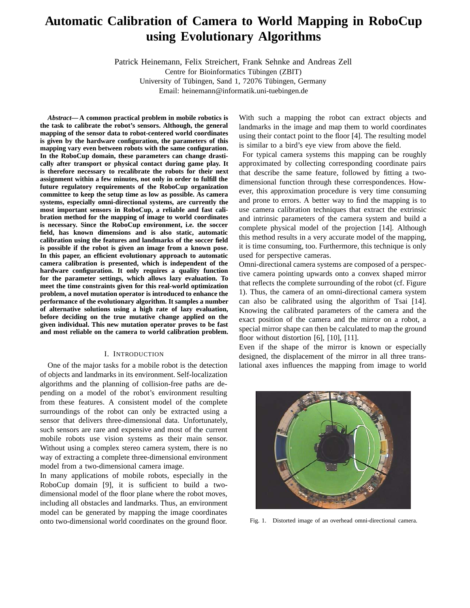# **Automatic Calibration of Camera to World Mapping in RoboCup using Evolutionary Algorithms**

Patrick Heinemann, Felix Streichert, Frank Sehnke and Andreas Zell Centre for Bioinformatics Tübingen (ZBIT)

University of Tübingen, Sand 1, 72076 Tübingen, Germany Email: heinemann@informatik.uni-tuebingen.de

*Abstract***— A common practical problem in mobile robotics is the task to calibrate the robot's sensors. Although, the general mapping of the sensor data to robot-centered world coordinates is given by the hardware configuration, the parameters of this mapping vary even between robots with the same configuration. In the RoboCup domain, these parameters can change drastically after transport or physical contact during game play. It is therefore necessary to recalibrate the robots for their next assignment within a few minutes, not only in order to fulfill the future regulatory requirements of the RoboCup organization committee to keep the setup time as low as possible. As camera systems, especially omni-directional systems, are currently the most important sensors in RoboCup, a reliable and fast calibration method for the mapping of image to world coordinates is necessary. Since the RoboCup environment, i.e. the soccer field, has known dimensions and is also static, automatic calibration using the features and landmarks of the soccer field is possible if the robot is given an image from a known pose. In this paper, an efficient evolutionary approach to automatic camera calibration is presented, which is independent of the hardware configuration. It only requires a quality function for the parameter settings, which allows lazy evaluation. To meet the time constraints given for this real-world optimization problem, a novel mutation operator is introduced to enhance the performance of the evolutionary algorithm. It samples a number of alternative solutions using a high rate of lazy evaluation, before deciding on the true mutative change applied on the given individual. This new mutation operator proves to be fast and most reliable on the camera to world calibration problem.**

#### I. INTRODUCTION

One of the major tasks for a mobile robot is the detection of objects and landmarks in its environment. Self-localization algorithms and the planning of collision-free paths are depending on a model of the robot's environment resulting from these features. A consistent model of the complete surroundings of the robot can only be extracted using a sensor that delivers three-dimensional data. Unfortunately, such sensors are rare and expensive and most of the current mobile robots use vision systems as their main sensor. Without using a complex stereo camera system, there is no way of extracting a complete three-dimensional environment model from a two-dimensional camera image.

In many applications of mobile robots, especially in the RoboCup domain [9], it is sufficient to build a twodimensional model of the floor plane where the robot moves, including all obstacles and landmarks. Thus, an environment model can be generated by mapping the image coordinates onto two-dimensional world coordinates on the ground floor. With such a mapping the robot can extract objects and landmarks in the image and map them to world coordinates using their contact point to the floor [4]. The resulting model is similar to a bird's eye view from above the field.

For typical camera systems this mapping can be roughly approximated by collecting corresponding coordinate pairs that describe the same feature, followed by fitting a twodimensional function through these correspondences. However, this approximation procedure is very time consuming and prone to errors. A better way to find the mapping is to use camera calibration techniques that extract the extrinsic and intrinsic parameters of the camera system and build a complete physical model of the projection [14]. Although this method results in a very accurate model of the mapping, it is time consuming, too. Furthermore, this technique is only used for perspective cameras.

Omni-directional camera systems are composed of a perspective camera pointing upwards onto a convex shaped mirror that reflects the complete surrounding of the robot (cf. Figure 1). Thus, the camera of an omni-directional camera system can also be calibrated using the algorithm of Tsai [14]. Knowing the calibrated parameters of the camera and the exact position of the camera and the mirror on a robot, a special mirror shape can then be calculated to map the ground floor without distortion  $[6]$ ,  $[10]$ ,  $[11]$ .

Even if the shape of the mirror is known or especially designed, the displacement of the mirror in all three translational axes influences the mapping from image to world



Fig. 1. Distorted image of an overhead omni-directional camera.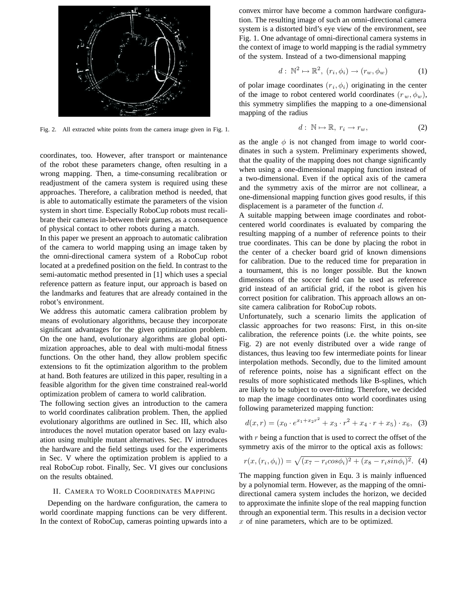

Fig. 2. All extracted white points from the camera image given in Fig. 1.

coordinates, too. However, after transport or maintenance of the robot these parameters change, often resulting in a wrong mapping. Then, a time-consuming recalibration or readjustment of the camera system is required using these approaches. Therefore, a calibration method is needed, that is able to automatically estimate the parameters of the vision system in short time. Especially RoboCup robots must recalibrate their cameras in-between their games, as a consequence of physical contact to other robots during a match.

In this paper we present an approach to automatic calibration of the camera to world mapping using an image taken by the omni-directional camera system of a RoboCup robot located at a predefined position on the field. In contrast to the semi-automatic method presented in [1] which uses a special reference pattern as feature input, our approach is based on the landmarks and features that are already contained in the robot's environment.

We address this automatic camera calibration problem by means of evolutionary algorithms, because they incorporate significant advantages for the given optimization problem. On the one hand, evolutionary algorithms are global optimization approaches, able to deal with multi-modal fitness functions. On the other hand, they allow problem specific extensions to fit the optimization algorithm to the problem at hand. Both features are utilized in this paper, resulting in a feasible algorithm for the given time constrained real-world optimization problem of camera to world calibration.

The following section gives an introduction to the camera to world coordinates calibration problem. Then, the applied evolutionary algorithms are outlined in Sec. III, which also introduces the novel mutation operator based on lazy evaluation using multiple mutant alternatives. Sec. IV introduces the hardware and the field settings used for the experiments in Sec. V where the optimization problem is applied to a real RoboCup robot. Finally, Sec. VI gives our conclusions on the results obtained.

#### II. CAMERA TO WORLD COORDINATES MAPPING

Depending on the hardware configuration, the camera to world coordinate mapping functions can be very different. In the context of RoboCup, cameras pointing upwards into a convex mirror have become a common hardware configuration. The resulting image of such an omni-directional camera system is a distorted bird's eye view of the environment, see Fig. 1. One advantage of omni-directional camera systems in the context of image to world mapping is the radial symmetry of the system. Instead of a two-dimensional mapping

$$
d: \mathbb{N}^2 \mapsto \mathbb{R}^2, (r_i, \phi_i) \to (r_w, \phi_w) \tag{1}
$$

of polar image coordinates  $(r_i, \phi_i)$  originating in the center of the image to robot centered world coordinates  $(r_w, \phi_w)$ , this symmetry simplifies the mapping to a one-dimensional mapping of the radius

$$
d: \ \mathbb{N} \mapsto \mathbb{R}, \ r_i \to r_w, \tag{2}
$$

as the angle  $\phi$  is not changed from image to world coordinates in such a system. Preliminary experiments showed, that the quality of the mapping does not change significantly when using a one-dimensional mapping function instead of a two-dimensional. Even if the optical axis of the camera and the symmetry axis of the mirror are not collinear, a one-dimensional mapping function gives good results, if this displacement is a parameter of the function  $d$ .

A suitable mapping between image coordinates and robotcentered world coordinates is evaluated by comparing the resulting mapping of a number of reference points to their true coordinates. This can be done by placing the robot in the center of a checker board grid of known dimensions for calibration. Due to the reduced time for preparation in a tournament, this is no longer possible. But the known dimensions of the soccer field can be used as reference grid instead of an artificial grid, if the robot is given his correct position for calibration. This approach allows an onsite camera calibration for RoboCup robots.

Unfortunately, such a scenario limits the application of classic approaches for two reasons: First, in this on-site calibration, the reference points (i.e. the white points, see Fig. 2) are not evenly distributed over a wide range of distances, thus leaving too few intermediate points for linear interpolation methods. Secondly, due to the limited amount of reference points, noise has a significant effect on the results of more sophisticated methods like B-splines, which are likely to be subject to over-fitting. Therefore, we decided to map the image coordinates onto world coordinates using following parameterized mapping function:

$$
d(x,r) = (x_0 \cdot e^{x_1 + x_2 r^2} + x_3 \cdot r^2 + x_4 \cdot r + x_5) \cdot x_6, \quad (3)
$$

with  $r$  being a function that is used to correct the offset of the symmetry axis of the mirror to the optical axis as follows:

$$
r(x,(r_i,\phi_i)) = \sqrt{(x_7 - r_i \cos \phi_i)^2 + (x_8 - r_i \sin \phi_i)^2}.
$$
 (4)

The mapping function given in Equ. 3 is mainly influenced by a polynomial term. However, as the mapping of the omnidirectional camera system includes the horizon, we decided to approximate the infinite slope of the real mapping function through an exponential term. This results in a decision vector  $x$  of nine parameters, which are to be optimized.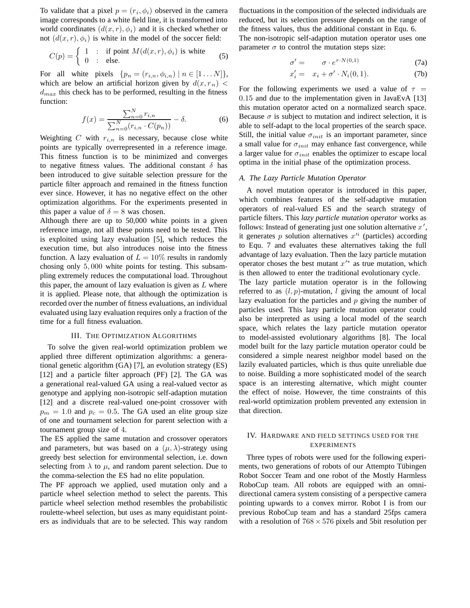To validate that a pixel  $p = (r_i, \phi_i)$  observed in the camera image corresponds to a white field line, it is transformed into world coordinates  $(d(x, r), \phi_i)$  and it is checked whether or not  $(d(x, r), \phi_i)$  is white in the model of the soccer field:

$$
C(p) = \begin{cases} 1 & \text{: if point } M(d(x,r), \phi_i) \text{ is white} \\ 0 & \text{: else.} \end{cases}
$$
 (5)

For all white pixels  $\{p_n = (r_{i,n}, \phi_{i,n}) \mid n \in [1 \dots N]\},\$ which are below an artificial horizon given by  $d(x, r_n)$  <  $d_{max}$  this check has to be performed, resulting in the fitness function:

$$
f(x) = \frac{\sum_{n=0}^{N} r_{i,n}}{\sum_{n=0}^{N} (r_{i,n} \cdot C(p_n))} - \delta.
$$
 (6)

Weighting  $C$  with  $r_{i,n}$  is necessary, because close white points are typically overrepresented in a reference image. This fitness function is to be minimized and converges to negative fitness values. The additional constant  $\delta$  has been introduced to give suitable selection pressure for the particle filter approach and remained in the fitness function ever since. However, it has no negative effect on the other optimization algorithms. For the experiments presented in this paper a value of  $\delta = 8$  was chosen.

Although there are up to 50,000 white points in a given reference image, not all these points need to be tested. This is exploited using lazy evaluation [5], which reduces the execution time, but also introduces noise into the fitness function. A lazy evaluation of  $L = 10\%$  results in randomly chosing only 5, 000 white points for testing. This subsampling extremely reduces the computational load. Throughout this paper, the amount of lazy evaluation is given as  $L$  where it is applied. Please note, that although the optimization is recorded over the number of fitness evaluations, an individual evaluated using lazy evaluation requires only a fraction of the time for a full fitness evaluation.

#### III. THE OPTIMIZATION ALGORITHMS

To solve the given real-world optimization problem we applied three different optimization algorithms: a generational genetic algorithm (GA) [7], an evolution strategy (ES) [12] and a particle filter approach (PF) [2]. The GA was a generational real-valued GA using a real-valued vector as genotype and applying non-isotropic self-adaption mutation [12] and a discrete real-valued one-point crossover with  $p_m = 1.0$  and  $p_c = 0.5$ . The GA used an elite group size of one and tournament selection for parent selection with a tournament group size of 4.

The ES applied the same mutation and crossover operators and parameters, but was based on a  $(\mu, \lambda)$ -strategy using greedy best selection for environmental selection, i.e. down selecting from  $\lambda$  to  $\mu$ , and random parent selection. Due to the comma-selection the ES had no elite population.

The PF approach we applied, used mutation only and a particle wheel selection method to select the parents. This particle wheel selection method resembles the probabilistic roulette-wheel selection, but uses as many equidistant pointers as individuals that are to be selected. This way random

fluctuations in the composition of the selected individuals are reduced, but its selection pressure depends on the range of the fitness values, thus the additional constant in Equ. 6. The non-isotropic self-adaption mutation operator uses one parameter  $\sigma$  to control the mutation steps size:

$$
\sigma' = \sigma \cdot e^{\tau \cdot N(0,1)} \tag{7a}
$$

$$
x_i' = x_i + \sigma' \cdot N_i(0, 1). \tag{7b}
$$

For the following experiments we used a value of  $\tau =$ 0.15 and due to the implementation given in JavaEvA [13] this mutation operator acted on a normalized search space. Because  $\sigma$  is subject to mutation and indirect selection, it is able to self-adapt to the local properties of the search space. Still, the initial value  $\sigma_{init}$  is an important parameter, since a small value for  $\sigma_{init}$  may enhance fast convergence, while a larger value for  $\sigma_{init}$  enables the optimizer to escape local optima in the initial phase of the optimization process.

## *A. The Lazy Particle Mutation Operator*

A novel mutation operator is introduced in this paper, which combines features of the self-adaptive mutation operators of real-valued ES and the search strategy of particle filters. This *lazy particle mutation operator* works as follows: Instead of generating just one solution alternative  $x'$ , it generates  $p$  solution alternatives  $x^i$  (particles) according to Equ. 7 and evaluates these alternatives taking the full advantage of lazy evaluation. Then the lazy particle mutation operator choses the best mutant  $x'^*$  as true mutation, which is then allowed to enter the traditional evolutionary cycle.

The lazy particle mutation operator is in the following referred to as  $(l, p)$ -mutation, l giving the amount of local lazy evaluation for the particles and  $p$  giving the number of particles used. This lazy particle mutation operator could also be interpreted as using a local model of the search space, which relates the lazy particle mutation operator to model-assisted evolutionary algorithms [8]. The local model built for the lazy particle mutation operator could be considered a simple nearest neighbor model based on the lazily evaluated particles, which is thus quite unreliable due to noise. Building a more sophisticated model of the search space is an interesting alternative, which might counter the effect of noise. However, the time constraints of this real-world optimization problem prevented any extension in that direction.

# IV. HARDWARE AND FIELD SETTINGS USED FOR THE EXPERIMENTS

Three types of robots were used for the following experiments, two generations of robots of our Attempto Tübingen Robot Soccer Team and one robot of the Mostly Harmless RoboCup team. All robots are equipped with an omnidirectional camera system consisting of a perspective camera pointing upwards to a convex mirror. Robot I is from our previous RoboCup team and has a standard 25fps camera with a resolution of  $768 \times 576$  pixels and 5bit resolution per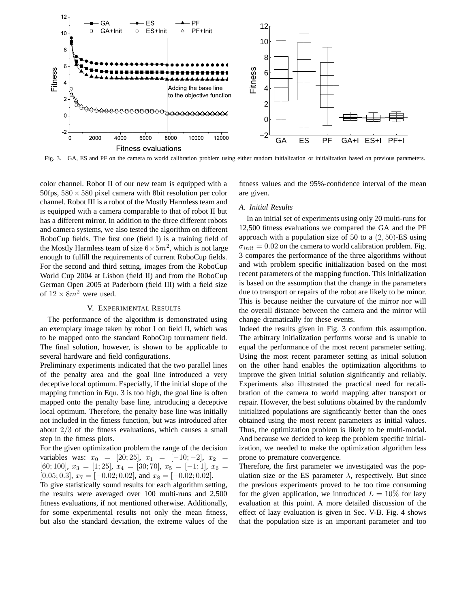

Fig. 3. GA, ES and PF on the camera to world calibration problem using either random initialization or initialization based on previous parameters.

color channel. Robot II of our new team is equipped with a 50fps,  $580 \times 580$  pixel camera with 8bit resolution per color channel. Robot III is a robot of the Mostly Harmless team and is equipped with a camera comparable to that of robot II but has a different mirror. In addition to the three different robots and camera systems, we also tested the algorithm on different RoboCup fields. The first one (field I) is a training field of the Mostly Harmless team of size  $6 \times 5m^2$ , which is not large enough to fulfill the requirements of current RoboCup fields. For the second and third setting, images from the RoboCup World Cup 2004 at Lisbon (field II) and from the RoboCup German Open 2005 at Paderborn (field III) with a field size of  $12 \times 8m^2$  were used.

## V. EXPERIMENTAL RESULTS

The performance of the algorithm is demonstrated using an exemplary image taken by robot I on field II, which was to be mapped onto the standard RoboCup tournament field. The final solution, however, is shown to be applicable to several hardware and field configurations.

Preliminary experiments indicated that the two parallel lines of the penalty area and the goal line introduced a very deceptive local optimum. Especially, if the initial slope of the mapping function in Equ. 3 is too high, the goal line is often mapped onto the penalty base line, introducing a deceptive local optimum. Therefore, the penalty base line was initially not included in the fitness function, but was introduced after about 2/3 of the fitness evaluations, which causes a small step in the fitness plots.

For the given optimization problem the range of the decision variables was:  $x_0 = [20; 25]$ ,  $x_1 = [-10; -2]$ ,  $x_2 =$ [60; 100],  $x_3 = [1; 25]$ ,  $x_4 = [30; 70]$ ,  $x_5 = [-1; 1]$ ,  $x_6 =$ [0.05; 0.3],  $x_7 = [-0.02; 0.02]$ , and  $x_8 = [-0.02; 0.02]$ .

To give statistically sound results for each algorithm setting, the results were averaged over 100 multi-runs and 2,500 fitness evaluations, if not mentioned otherwise. Additionally, for some experimental results not only the mean fitness, but also the standard deviation, the extreme values of the fitness values and the 95%-confidence interval of the mean are given.

# *A. Initial Results*

In an initial set of experiments using only 20 multi-runs for 12,500 fitness evaluations we compared the GA and the PF approach with a population size of 50 to a  $(2, 50)$ -ES using  $\sigma_{init} = 0.02$  on the camera to world calibration problem. Fig. 3 compares the performance of the three algorithms without and with problem specific initialization based on the most recent parameters of the mapping function. This initialization is based on the assumption that the change in the parameters due to transport or repairs of the robot are likely to be minor. This is because neither the curvature of the mirror nor will the overall distance between the camera and the mirror will change dramatically for these events.

Indeed the results given in Fig. 3 confirm this assumption. The arbitrary initialization performs worse and is unable to equal the performance of the most recent parameter setting. Using the most recent parameter setting as initial solution on the other hand enables the optimization algorithms to improve the given initial solution significantly and reliably. Experiments also illustrated the practical need for recalibration of the camera to world mapping after transport or repair. However, the best solutions obtained by the randomly initialized populations are significantly better than the ones obtained using the most recent parameters as initial values. Thus, the optimization problem is likely to be multi-modal. And because we decided to keep the problem specific initialization, we needed to make the optimization algorithm less prone to premature convergence.

Therefore, the first parameter we investigated was the population size or the ES parameter  $\lambda$ , respectively. But since the previous experiments proved to be too time consuming for the given application, we introduced  $L = 10\%$  for lazy evaluation at this point. A more detailed discussion of the effect of lazy evaluation is given in Sec. V-B. Fig. 4 shows that the population size is an important parameter and too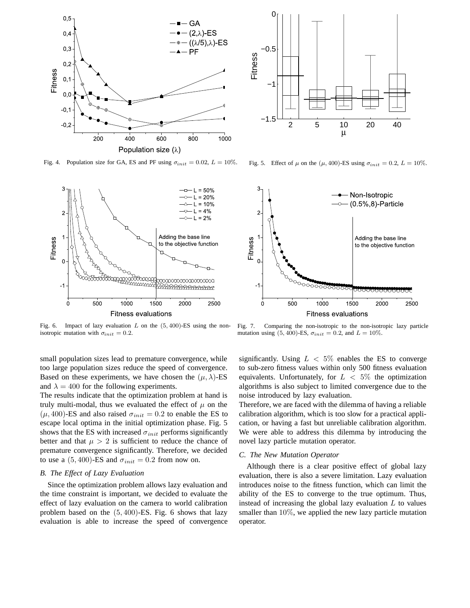

Fig. 4. Population size for GA, ES and PF using  $\sigma_{init} = 0.02$ ,  $L = 10\%$ .



 $-1.5$   $2$  5 10 20 40 −1 −0.5  $\Omega$ μ Fitness

Fig. 5. Effect of  $\mu$  on the ( $\mu$ , 400)-ES using  $\sigma_{init} = 0.2$ ,  $L = 10\%$ .



Fig. 6. Impact of lazy evaluation  $L$  on the  $(5, 400)$ -ES using the nonisotropic mutation with  $\sigma_{init} = 0.2$ .

small population sizes lead to premature convergence, while too large population sizes reduce the speed of convergence. Based on these experiments, we have chosen the  $(\mu, \lambda)$ -ES and  $\lambda = 400$  for the following experiments.

The results indicate that the optimization problem at hand is truly multi-modal, thus we evaluated the effect of  $\mu$  on the  $(\mu, 400)$ -ES and also raised  $\sigma_{init} = 0.2$  to enable the ES to escape local optima in the initial optimization phase. Fig. 5 shows that the ES with increased  $\sigma_{init}$  performs significantly better and that  $\mu > 2$  is sufficient to reduce the chance of premature convergence significantly. Therefore, we decided to use a  $(5, 400)$ -ES and  $\sigma_{init} = 0.2$  from now on.

## *B. The Effect of Lazy Evaluation*

Since the optimization problem allows lazy evaluation and the time constraint is important, we decided to evaluate the effect of lazy evaluation on the camera to world calibration problem based on the  $(5, 400)$ -ES. Fig. 6 shows that lazy evaluation is able to increase the speed of convergence

Fig. 7. Comparing the non-isotropic to the non-isotropic lazy particle mutation using (5, 400)-ES,  $\sigma_{init} = 0.2$ , and  $L = 10\%$ .

significantly. Using  $L < 5\%$  enables the ES to converge to sub-zero fitness values within only 500 fitness evaluation equivalents. Unfortunately, for  $L < 5\%$  the optimization algorithms is also subject to limited convergence due to the noise introduced by lazy evaluation.

Therefore, we are faced with the dilemma of having a reliable calibration algorithm, which is too slow for a practical application, or having a fast but unreliable calibration algorithm. We were able to address this dilemma by introducing the novel lazy particle mutation operator.

#### *C. The New Mutation Operator*

Although there is a clear positive effect of global lazy evaluation, there is also a severe limitation. Lazy evaluation introduces noise to the fitness function, which can limit the ability of the ES to converge to the true optimum. Thus, instead of increasing the global lazy evaluation  $L$  to values smaller than 10%, we applied the new lazy particle mutation operator.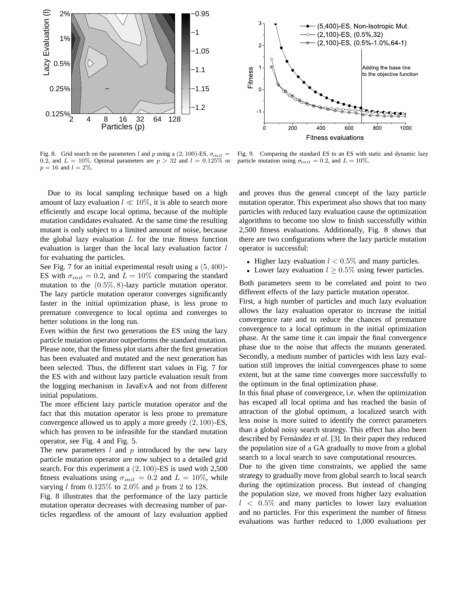

Fig. 8. Grid search on the parameters l and p using a  $(2, 100)$ -ES,  $\sigma_{init} =$ 0.2, and  $L = 10\%$ . Optimal parameters are  $p > 32$  and  $l = 0.125\%$  or  $p = 16$  and  $l = 2\%$ .

Due to its local sampling technique based on a high amount of lazy evaluation  $l \ll 10\%$ , it is able to search more efficiently and escape local optima, because of the multiple mutation candidates evaluated. At the same time the resulting mutant is only subject to a limited amount of noise, because the global lazy evaluation  $L$  for the true fitness function evaluation is larger than the local lazy evaluation factor  $l$ for evaluating the particles.

See Fig. 7 for an initial experimental result using a  $(5, 400)$ -ES with  $\sigma_{init} = 0.2$ , and  $L = 10\%$  comparing the standard mutation to the  $(0.5\%, 8)$ -lazy particle mutation operator. The lazy particle mutation operator converges significantly faster in the initial optimization phase, is less prone to premature convergence to local optima and converges to better solutions in the long run.

Even within the first two generations the ES using the lazy particle mutation operator outperforms the standard mutation. Please note, that the fitness plot starts after the first generation has been evaluated and mutated and the next generation has been selected. Thus, the different start values in Fig. 7 for the ES with and without lazy particle evaluation result from the logging mechanism in JavaEvA and not from different initial populations.

The more efficient lazy particle mutation operator and the fact that this mutation operator is less prone to premature convergence allowed us to apply a more greedy (2, 100)-ES, which has proven to be infeasible for the standard mutation operator, see Fig. 4 and Fig. 5.

The new parameters  $l$  and  $p$  introduced by the new lazy particle mutation operator are now subject to a detailed grid search. For this experiment a (2, 100)-ES is used with 2,500 fitness evaluations using  $\sigma_{init} = 0.2$  and  $L = 10\%$ , while varying l from  $0.125\%$  to  $2.0\%$  and p from 2 to 128.

Fig. 8 illustrates that the performance of the lazy particle mutation operator decreases with decreasing number of particles regardless of the amount of lazy evaluation applied



Fig. 9. Comparing the standard ES to an ES with static and dynamic lazy particle mutation using  $\sigma_{init} = 0.2$ , and  $L = 10\%$ .

and proves thus the general concept of the lazy particle mutation operator. This experiment also shows that too many particles with reduced lazy evaluation cause the optimization algorithms to become too slow to finish successfully within 2,500 fitness evaluations. Additionally, Fig. 8 shows that there are two configurations where the lazy particle mutation operator is successful:

- Higher lazy evaluation  $l < 0.5\%$  and many particles.
- Lower lazy evaluation  $l \geq 0.5\%$  using fewer particles.

Both parameters seem to be correlated and point to two different effects of the lazy particle mutation operator.

First, a high number of particles and much lazy evaluation allows the lazy evaluation operator to increase the initial convergence rate and to reduce the chances of premature convergence to a local optimum in the initial optimization phase. At the same time it can impair the final convergence phase due to the noise that affects the mutants generated. Secondly, a medium number of particles with less lazy evaluation still improves the initial convergences phase to some extent, but at the same time converges more successfully to the optimum in the final optimization phase.

In this final phase of convergence, i.e. when the optimization has escaped all local optima and has reached the basin of attraction of the global optimum, a localized search with less noise is more suited to identify the correct parameters than a global noisy search strategy. This effect has also been described by Fernàndez et al. [3]. In their paper they reduced the population size of a GA gradually to move from a global search to a local search to save computational resources.

Due to the given time constraints, we applied the same strategy to gradually move from global search to local search during the optimization process. But instead of changing the population size, we moved from higher lazy evaluation  $l \, < \, 0.5\%$  and many particles to lower lazy evaluation and no particles. For this experiment the number of fitness evaluations was further reduced to 1,000 evaluations per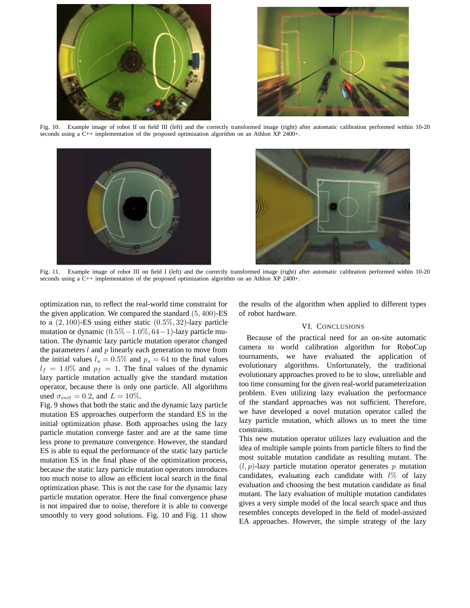



Fig. 10. Example image of robot II on field III (left) and the correctly transformed image (right) after automatic calibration performed within 10-20 seconds using a C++ implementation of the proposed optimization algorithm on an Athlon XP 2400+.



Fig. 11. Example image of robot III on field I (left) and the correctly transformed image (right) after automatic calibration performed within 10-20 seconds using a C++ implementation of the proposed optimization algorithm on an Athlon XP 2400+.

optimization run, to reflect the real-world time constraint for the given application. We compared the standard (5, 400)-ES to a  $(2, 100)$ -ES using either static  $(0.5\%, 32)$ -lazy particle mutation or dynamic  $(0.5\% - 1.0\%, 64 - 1)$ -lazy particle mutation. The dynamic lazy particle mutation operator changed the parameters  $l$  and  $p$  linearly each generation to move from the initial values  $l_s = 0.5\%$  and  $p_s = 64$  to the final values  $l_f = 1.0\%$  and  $p_f = 1$ . The final values of the dynamic lazy particle mutation actually give the standard mutation operator, because there is only one particle. All algorithms used  $\sigma_{init} = 0.2$ , and  $L = 10\%$ .

Fig. 9 shows that both the static and the dynamic lazy particle mutation ES approaches outperform the standard ES in the initial optimization phase. Both approaches using the lazy particle mutation converge faster and are at the same time less prone to premature convergence. However, the standard ES is able to equal the performance of the static lazy particle mutation ES in the final phase of the optimization process, because the static lazy particle mutation operators introduces too much noise to allow an efficient local search in the final optimization phase. This is not the case for the dynamic lazy particle mutation operator. Here the final convergence phase is not impaired due to noise, therefore it is able to converge smoothly to very good solutions. Fig. 10 and Fig. 11 show

the results of the algorithm when applied to different types of robot hardware.

# VI. CONCLUSIONS

Because of the practical need for an on-site automatic camera to world calibration algorithm for RoboCup tournaments, we have evaluated the application of evolutionary algorithms. Unfortunately, the traditional evolutionary approaches proved to be to slow, unreliable and too time consuming for the given real-world parameterization problem. Even utilizing lazy evaluation the performance of the standard approaches was not sufficient. Therefore, we have developed a novel mutation operator called the lazy particle mutation, which allows us to meet the time constraints.

This new mutation operator utilizes lazy evaluation and the idea of multiple sample points from particle filters to find the most suitable mutation candidate as resulting mutant. The  $(l, p)$ -lazy particle mutation operator generates p mutation candidates, evaluating each candidate with  $l\%$  of lazy evaluation and choosing the best mutation candidate as final mutant. The lazy evaluation of multiple mutation candidates gives a very simple model of the local search space and thus resembles concepts developed in the field of model-assisted EA approaches. However, the simple strategy of the lazy